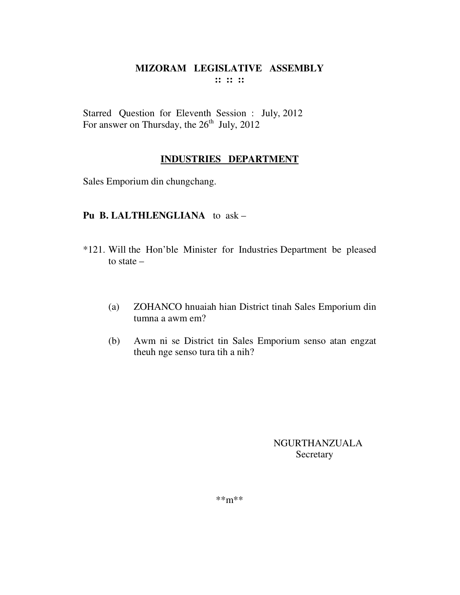# MIZORAM LEGISLATIVE ASSEMBLY  $\cdots$   $\cdots$   $\cdots$

Starred Question for Eleventh Session : July, 2012 For answer on Thursday, the  $26<sup>th</sup>$  July, 2012

# **INDUSTRIES DEPARTMENT**

Sales Emporium din chungchang.

# Pu B. LALTHLENGLIANA to ask -

- \*121. Will the Hon'ble Minister for Industries Department be pleased to state  $-$ 
	- $(a)$ ZOHANCO hnuaiah hian District tinah Sales Emporium din tumna a awm em?
	- Awm ni se District tin Sales Emporium senso atan engzat  $(b)$ theuh nge senso tura tih a nih?

**NGURTHANZUALA** Secretary

 $***m***$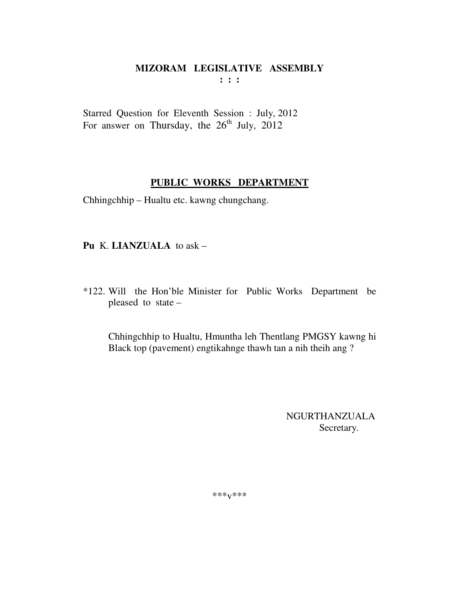$: : :$ 

Starred Question for Eleventh Session : July, 2012 For answer on Thursday, the  $26<sup>th</sup>$  July, 2012

# PUBLIC WORKS DEPARTMENT

Chhingchhip - Hualtu etc. kawng chungchang.

Pu K. LIANZUALA to ask -

\*122. Will the Hon'ble Minister for Public Works Department be pleased to state -

Chhingchhip to Hualtu, Hmuntha leh Thentlang PMGSY kawng hi Black top (pavement) engtikannge thawh tan a nih theih ang?

> **NGURTHANZUALA** Secretary.

\*\*\* $V$ \*\*\*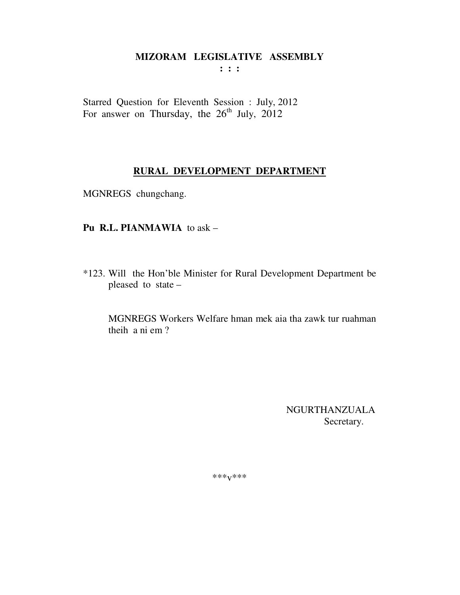$: : :$ 

Starred Question for Eleventh Session : July, 2012 For answer on Thursday, the  $26<sup>th</sup>$  July,  $2012$ 

#### RURAL DEVELOPMENT DEPARTMENT

MGNREGS chungchang.

# Pu R.L. PIANMAWIA to ask -

\*123. Will the Hon'ble Minister for Rural Development Department be pleased to state -

MGNREGS Workers Welfare hman mek aia tha zawk tur ruahman theih a ni em?

> **NGURTHANZUALA** Secretary.

\*\*\* $V$ \*\*\*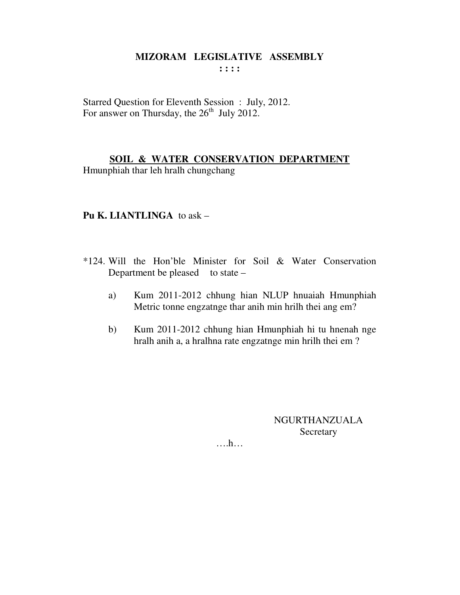Starred Question for Eleventh Session : July, 2012. For answer on Thursday, the  $26<sup>th</sup>$  July 2012.

# **SOIL & WATER CONSERVATION DEPARTMENT**

Hmunphiah thar leh hralh chungchang

## **Pu K. LIANTLINGA** to ask –

- \*124. Will the Hon'ble Minister for Soil & Water Conservation Department be pleased to state  $$ 
	- a) Kum 2011-2012 chhung hian NLUP hnuaiah Hmunphiah Metric tonne engzatnge thar anih min hrilh thei ang em?
	- b) Kum 2011-2012 chhung hian Hmunphiah hi tu hnenah nge hralh anih a, a hralhna rate engzatnge min hrilh thei em ?

NGURTHANZUALA **Secretary**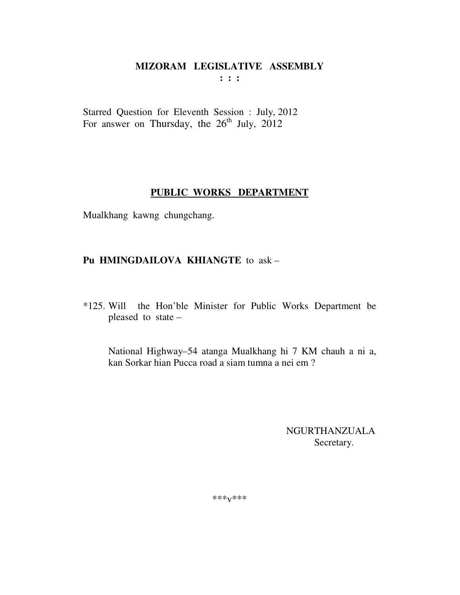**: : :** 

Starred Question for Eleventh Session : July, 2012 For answer on Thursday, the  $26<sup>th</sup>$  July,  $2012$ 

# **PUBLIC WORKS DEPARTMENT**

Mualkhang kawng chungchang.

# **Pu HMINGDAILOVA KHIANGTE** to ask –

\*125. Will the Hon'ble Minister for Public Works Department be pleased to state –

 National Highway–54 atanga Mualkhang hi 7 KM chauh a ni a, kan Sorkar hian Pucca road a siam tumna a nei em ?

> NGURTHANZUALA Secretary.

\*\*\*v\*\*\*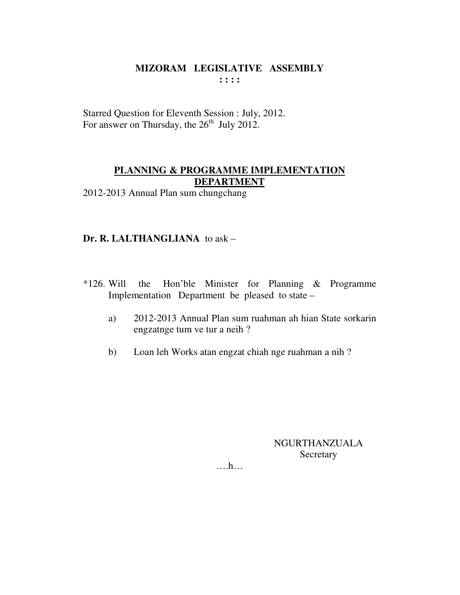Starred Question for Eleventh Session : July, 2012. For answer on Thursday, the 26<sup>th</sup> July 2012.

# PLANNING & PROGRAMME IMPLEMENTATION **DEPARTMENT**

2012-2013 Annual Plan sum chungchang

# Dr. R. LALTHANGLIANA to ask -

- $*126$ . Will the Hon'ble Minister for Planning & Programme Implementation Department be pleased to state –
	- 2012-2013 Annual Plan sum ruahman ah hian State sorkarin  $a)$ engzatnge tum ve tur a neih ?
	- Loan leh Works atan engzat chiah nge ruahman a nih?  $b)$

**NGURTHANZUALA** Secretary

 $\dots h\dots$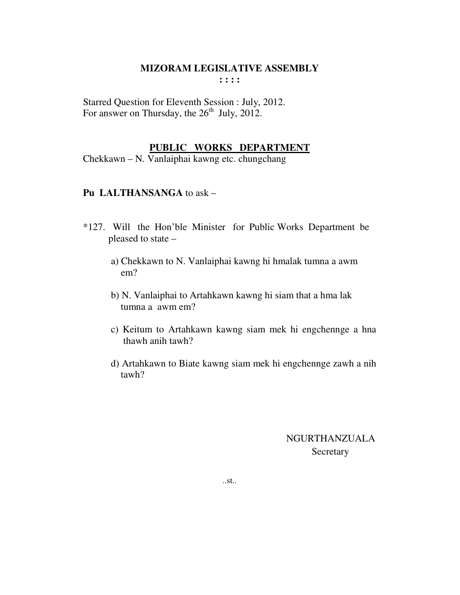Starred Question for Eleventh Session : July, 2012. For answer on Thursday, the  $26<sup>th</sup>$  July, 2012.

# **PUBLIC WORKS DEPARTMENT**

Chekkawn – N. Vanlaiphai kawng etc. chungchang

# **Pu LALTHANSANGA** to ask –

- \*127. Will the Hon'ble Minister for Public Works Department be pleased to state –
	- a) Chekkawn to N. Vanlaiphai kawng hi hmalak tumna a awm em?
	- b) N. Vanlaiphai to Artahkawn kawng hi siam that a hma lak tumna a awm em?
	- c) Keitum to Artahkawn kawng siam mek hi engchennge a hna thawh anih tawh?
	- d) Artahkawn to Biate kawng siam mek hi engchennge zawh a nih tawh?

# NGURTHANZUALA Secretary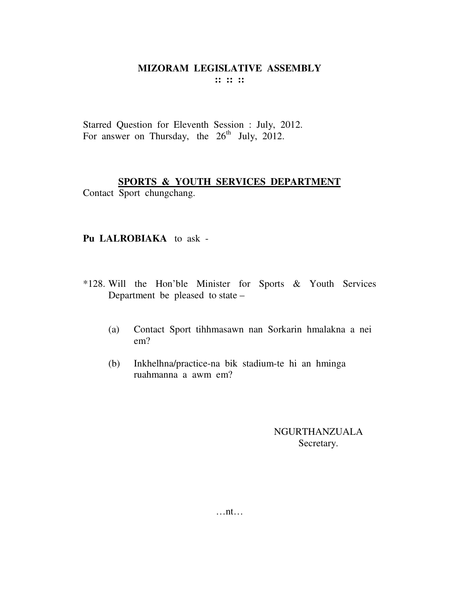Starred Question for Eleventh Session : July, 2012. For answer on Thursday, the  $26<sup>th</sup>$  July, 2012.

# **SPORTS & YOUTH SERVICES DEPARTMENT**

Contact Sport chungchang.

# **Pu LALROBIAKA** to ask -

- \*128. Will the Hon'ble Minister for Sports & Youth Services Department be pleased to state –
	- (a) Contact Sport tihhmasawn nan Sorkarin hmalakna a nei em?
	- (b) Inkhelhna/practice-na bik stadium-te hi an hminga ruahmanna a awm em?

# NGURTHANZUALA Secretary.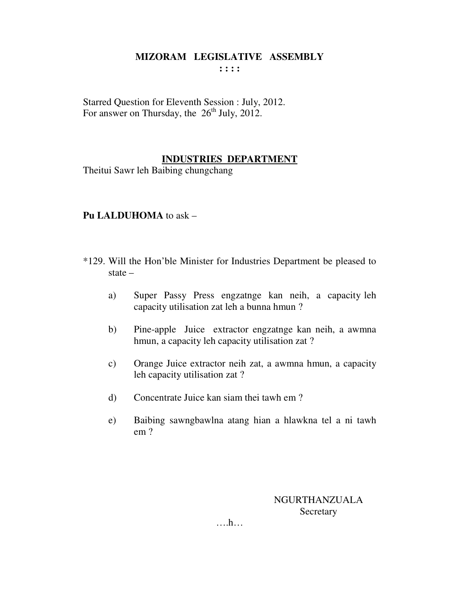Starred Question for Eleventh Session : July, 2012. For answer on Thursday, the  $26<sup>th</sup>$  July, 2012.

# **INDUSTRIES DEPARTMENT**

Theitui Sawr leh Baibing chungchang

# **Pu LALDUHOMA** to ask –

- \*129. Will the Hon'ble Minister for Industries Department be pleased to state –
	- a) Super Passy Press engzatnge kan neih, a capacity leh capacity utilisation zat leh a bunna hmun ?
	- b) Pine-apple Juice extractor engzatnge kan neih, a awmna hmun, a capacity leh capacity utilisation zat ?
	- c) Orange Juice extractor neih zat, a awmna hmun, a capacity leh capacity utilisation zat ?
	- d) Concentrate Juice kan siam thei tawh em ?
	- e) Baibing sawngbawlna atang hian a hlawkna tel a ni tawh em ?

NGURTHANZUALA Secretary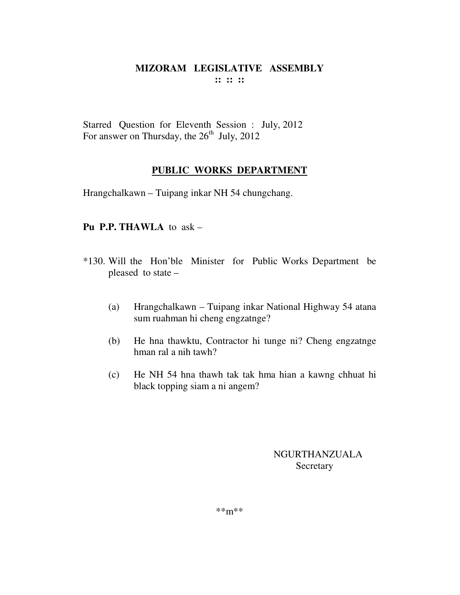Starred Question for Eleventh Session : July, 2012 For answer on Thursday, the  $26<sup>th</sup>$  July, 2012

# **PUBLIC WORKS DEPARTMENT**

Hrangchalkawn – Tuipang inkar NH 54 chungchang.

# **Pu P.P. THAWLA** to ask –

- \*130. Will the Hon'ble Minister for Public Works Department be pleased to state –
	- (a) Hrangchalkawn Tuipang inkar National Highway 54 atana sum ruahman hi cheng engzatnge?
	- (b) He hna thawktu, Contractor hi tunge ni? Cheng engzatnge hman ral a nih tawh?
	- (c) He NH 54 hna thawh tak tak hma hian a kawng chhuat hi black topping siam a ni angem?

# NGURTHANZUALA Secretary

\*\*m\*\*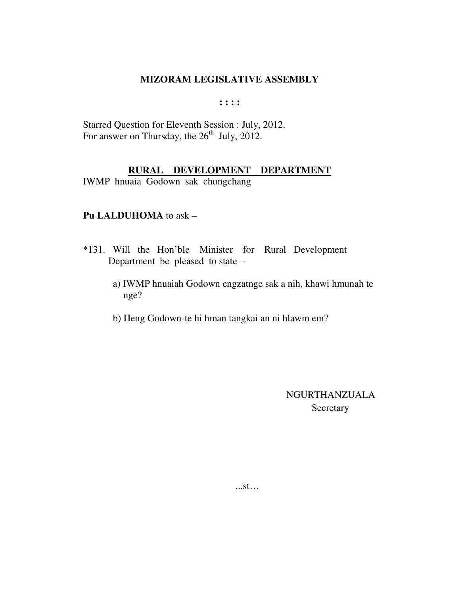$: : : :$ 

Starred Question for Eleventh Session : July, 2012. For answer on Thursday, the 26<sup>th</sup> July, 2012.

# RURAL DEVELOPMENT DEPARTMENT

IWMP hnuaia Godown sak chungchang

### Pu LALDUHOMA to ask -

- \*131. Will the Hon'ble Minister for Rural Development Department be pleased to state –
	- a) IWMP hnuaiah Godown engzatnge sak a nih, khawi hmunah te nge?
	- b) Heng Godown-te hi hman tangkai an ni hlawm em?

**NGURTHANZUALA** Secretary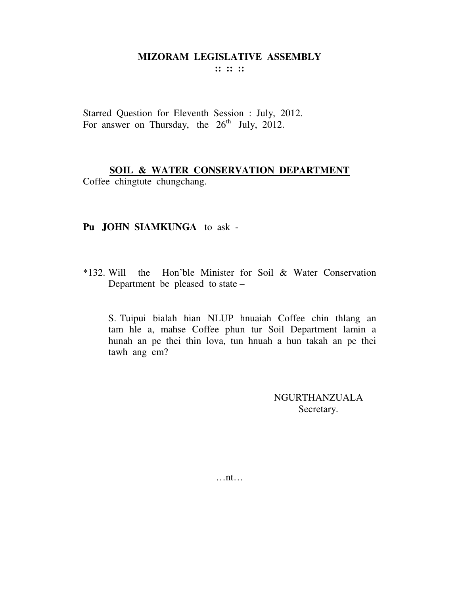**:: :: ::** 

Starred Question for Eleventh Session : July, 2012. For answer on Thursday, the  $26<sup>th</sup>$  July, 2012.

# **SOIL & WATER CONSERVATION DEPARTMENT**

Coffee chingtute chungchang.

#### **Pu JOHN SIAMKUNGA** to ask -

\*132. Will the Hon'ble Minister for Soil & Water Conservation Department be pleased to state –

S. Tuipui bialah hian NLUP hnuaiah Coffee chin thlang an tam hle a, mahse Coffee phun tur Soil Department lamin a hunah an pe thei thin lova, tun hnuah a hun takah an pe thei tawh ang em?

> NGURTHANZUALA Secretary.

…nt…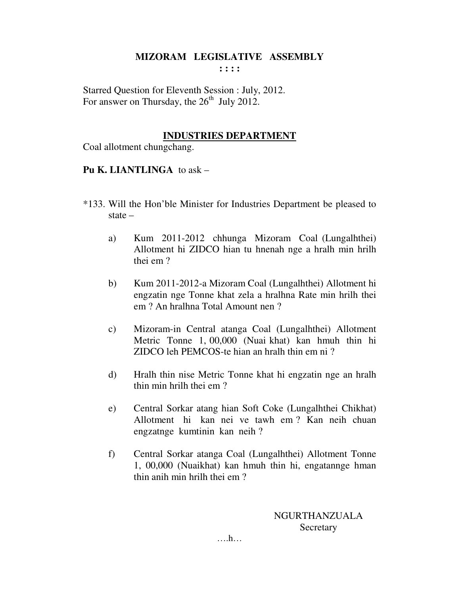**: : : :** 

Starred Question for Eleventh Session : July, 2012. For answer on Thursday, the  $26<sup>th</sup>$  July 2012.

## **INDUSTRIES DEPARTMENT**

Coal allotment chungchang.

# **Pu K. LIANTLINGA** to ask –

- \*133. Will the Hon'ble Minister for Industries Department be pleased to state –
	- a) Kum 2011-2012 chhunga Mizoram Coal (Lungalhthei) Allotment hi ZIDCO hian tu hnenah nge a hralh min hrilh thei em ?
	- b) Kum 2011-2012-a Mizoram Coal (Lungalhthei) Allotment hi engzatin nge Tonne khat zela a hralhna Rate min hrilh thei em ? An hralhna Total Amount nen ?
	- c) Mizoram-in Central atanga Coal (Lungalhthei) Allotment Metric Tonne 1, 00,000 (Nuai khat) kan hmuh thin hi ZIDCO leh PEMCOS-te hian an hralh thin em ni ?
	- d) Hralh thin nise Metric Tonne khat hi engzatin nge an hralh thin min hrilh thei em ?
	- e) Central Sorkar atang hian Soft Coke (Lungalhthei Chikhat) Allotment hi kan nei ve tawh em ? Kan neih chuan engzatnge kumtinin kan neih ?
	- f) Central Sorkar atanga Coal (Lungalhthei) Allotment Tonne 1, 00,000 (Nuaikhat) kan hmuh thin hi, engatannge hman thin anih min hrilh thei em ?

NGURTHANZUALA **Secretary**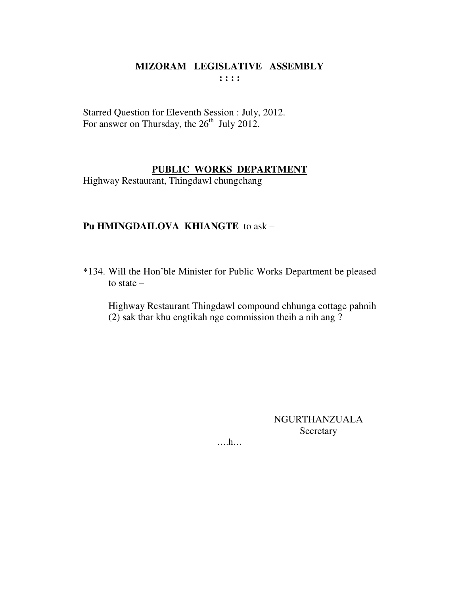Starred Question for Eleventh Session : July, 2012. For answer on Thursday, the 26<sup>th</sup> July 2012.

#### PUBLIC WORKS DEPARTMENT

Highway Restaurant, Thingdawl chungchang

# Pu HMINGDAILOVA KHIANGTE to ask -

\*134. Will the Hon'ble Minister for Public Works Department be pleased to state  $-$ 

Highway Restaurant Thingdawl compound chhunga cottage pahnih (2) sak thar khu engtikah nge commission theih a nih ang?

> **NGURTHANZUALA** Secretary

 $\dots h\dots$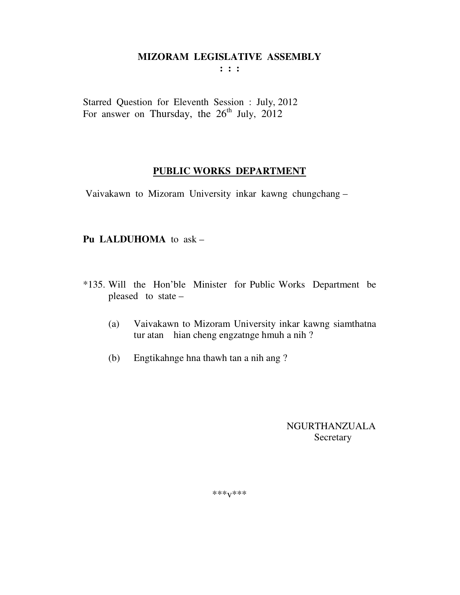**: : :** 

Starred Question for Eleventh Session : July, 2012 For answer on Thursday, the  $26<sup>th</sup>$  July,  $2012$ 

#### **PUBLIC WORKS DEPARTMENT**

Vaivakawn to Mizoram University inkar kawng chungchang –

# **Pu LALDUHOMA** to ask –

- \*135. Will the Hon'ble Minister for Public Works Department be pleased to state –
	- (a) Vaivakawn to Mizoram University inkar kawng siamthatna tur atan hian cheng engzatnge hmuh a nih ?
	- (b) Engtikahnge hna thawh tan a nih ang ?

 NGURTHANZUALA Secretary

\*\*\*v\*\*\*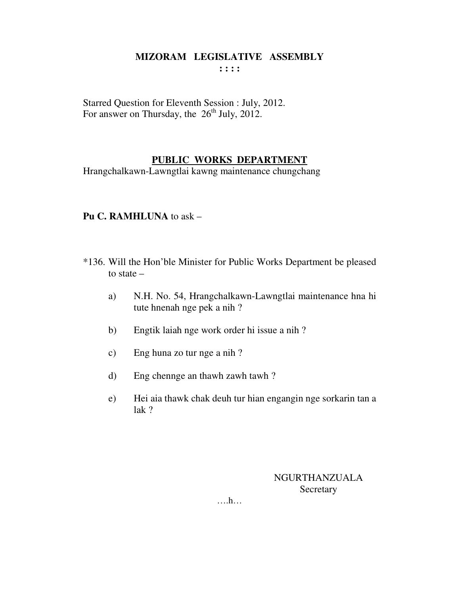Starred Question for Eleventh Session : July, 2012. For answer on Thursday, the  $26<sup>th</sup>$  July, 2012.

# **PUBLIC WORKS DEPARTMENT**

Hrangchalkawn-Lawngtlai kawng maintenance chungchang

#### **Pu C. RAMHLUNA** to ask –

- \*136. Will the Hon'ble Minister for Public Works Department be pleased to state –
	- a) N.H. No. 54, Hrangchalkawn-Lawngtlai maintenance hna hi tute hnenah nge pek a nih ?
	- b) Engtik laiah nge work order hi issue a nih ?
	- c) Eng huna zo tur nge a nih ?
	- d) Eng chennge an thawh zawh tawh ?
	- e) Hei aia thawk chak deuh tur hian engangin nge sorkarin tan a lak ?

NGURTHANZUALA **Secretary**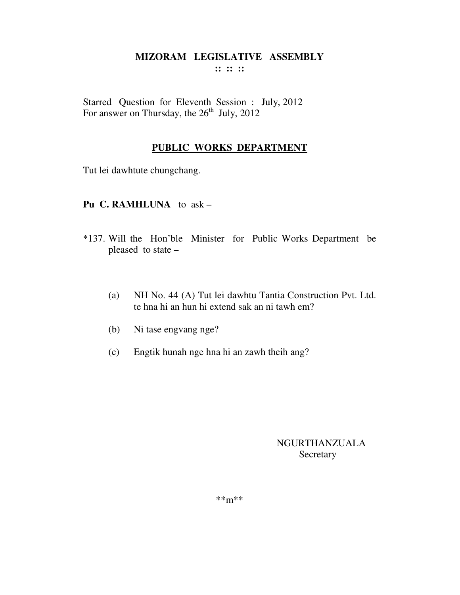Starred Question for Eleventh Session : July, 2012 For answer on Thursday, the  $26<sup>th</sup>$  July, 2012

# **PUBLIC WORKS DEPARTMENT**

Tut lei dawhtute chungchang.

# **Pu C. RAMHLUNA** to ask –

- \*137. Will the Hon'ble Minister for Public Works Department be pleased to state –
	- (a) NH No. 44 (A) Tut lei dawhtu Tantia Construction Pvt. Ltd. te hna hi an hun hi extend sak an ni tawh em?
	- (b) Ni tase engvang nge?
	- (c) Engtik hunah nge hna hi an zawh theih ang?

# NGURTHANZUALA **Secretary**

\*\*m\*\*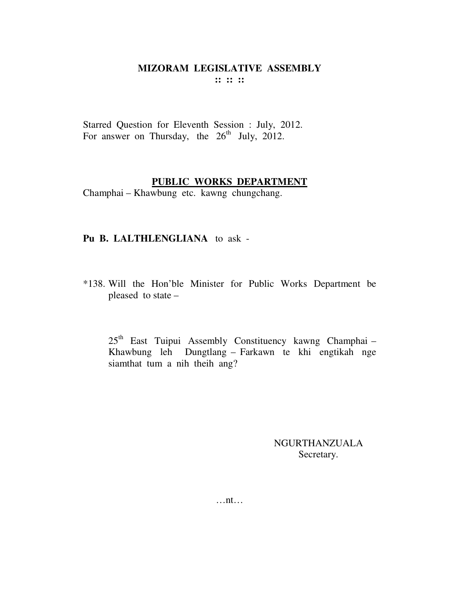Starred Question for Eleventh Session : July, 2012. For answer on Thursday, the  $26<sup>th</sup>$  July, 2012.

#### **PUBLIC WORKS DEPARTMENT**

Champhai – Khawbung etc. kawng chungchang.

#### **Pu B. LALTHLENGLIANA** to ask -

\*138. Will the Hon'ble Minister for Public Works Department be pleased to state –

25th East Tuipui Assembly Constituency kawng Champhai – Khawbung leh Dungtlang – Farkawn te khi engtikah nge siamthat tum a nih theih ang?

> NGURTHANZUALA Secretary.

…nt…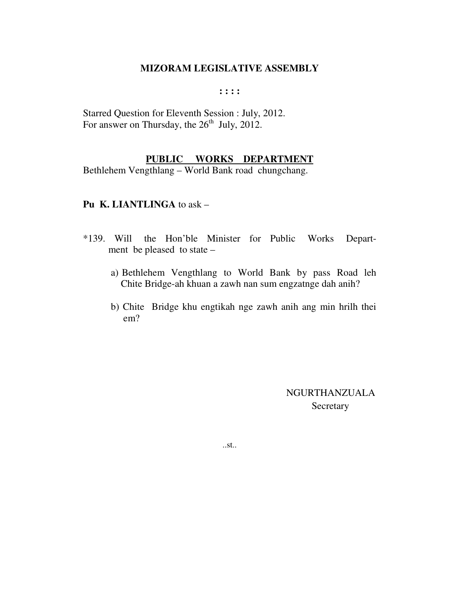**: : : :** 

Starred Question for Eleventh Session : July, 2012. For answer on Thursday, the  $26<sup>th</sup>$  July, 2012.

#### **PUBLIC WORKS DEPARTMENT**

Bethlehem Vengthlang – World Bank road chungchang.

# **Pu K. LIANTLINGA** to ask –

- \*139. Will the Hon'ble Minister for Public Works Depart ment be pleased to state –
	- a) Bethlehem Vengthlang to World Bank by pass Road leh Chite Bridge-ah khuan a zawh nan sum engzatnge dah anih?
	- b) Chite Bridge khu engtikah nge zawh anih ang min hrilh thei em?

 NGURTHANZUALA **Secretary** 

..st..